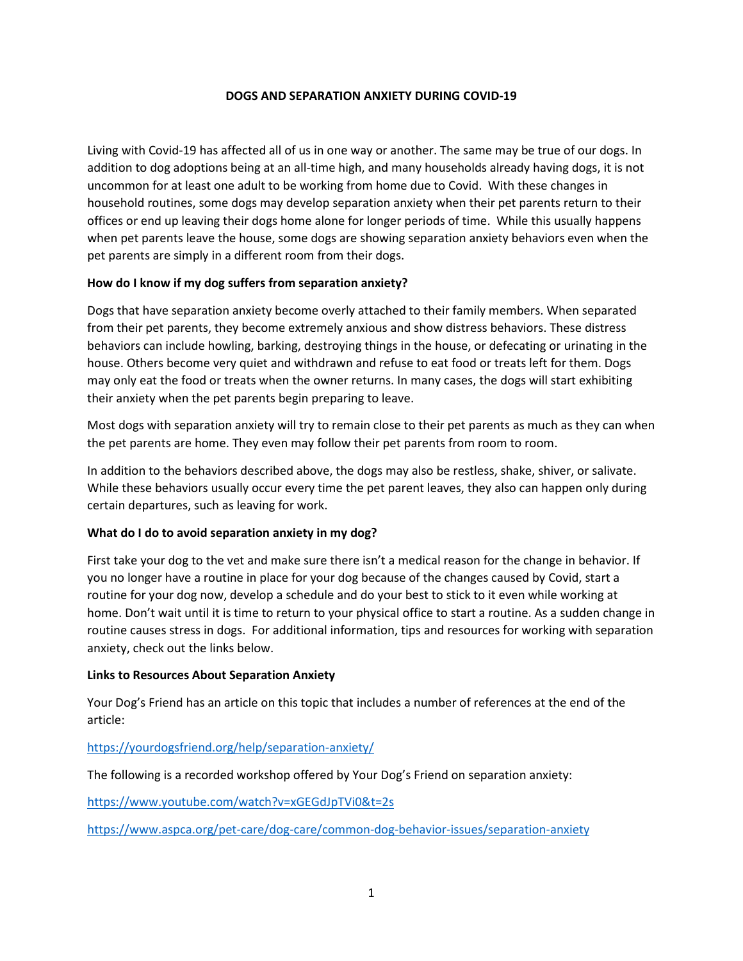## **DOGS AND SEPARATION ANXIETY DURING COVID-19**

Living with Covid-19 has affected all of us in one way or another. The same may be true of our dogs. In addition to dog adoptions being at an all-time high, and many households already having dogs, it is not uncommon for at least one adult to be working from home due to Covid. With these changes in household routines, some dogs may develop separation anxiety when their pet parents return to their offices or end up leaving their dogs home alone for longer periods of time. While this usually happens when pet parents leave the house, some dogs are showing separation anxiety behaviors even when the pet parents are simply in a different room from their dogs.

## **How do I know if my dog suffers from separation anxiety?**

Dogs that have separation anxiety become overly attached to their family members. When separated from their pet parents, they become extremely anxious and show distress behaviors. These distress behaviors can include howling, barking, destroying things in the house, or defecating or urinating in the house. Others become very quiet and withdrawn and refuse to eat food or treats left for them. Dogs may only eat the food or treats when the owner returns. In many cases, the dogs will start exhibiting their anxiety when the pet parents begin preparing to leave.

Most dogs with separation anxiety will try to remain close to their pet parents as much as they can when the pet parents are home. They even may follow their pet parents from room to room.

In addition to the behaviors described above, the dogs may also be restless, shake, shiver, or salivate. While these behaviors usually occur every time the pet parent leaves, they also can happen only during certain departures, such as leaving for work.

## **What do I do to avoid separation anxiety in my dog?**

First take your dog to the vet and make sure there isn't a medical reason for the change in behavior. If you no longer have a routine in place for your dog because of the changes caused by Covid, start a routine for your dog now, develop a schedule and do your best to stick to it even while working at home. Don't wait until it is time to return to your physical office to start a routine. As a sudden change in routine causes stress in dogs. For additional information, tips and resources for working with separation anxiety, check out the links below.

## **Links to Resources About Separation Anxiety**

Your Dog's Friend has an article on this topic that includes a number of references at the end of the article:

# <https://yourdogsfriend.org/help/separation-anxiety/>

The following is a recorded workshop offered by Your Dog's Friend on separation anxiety:

<https://www.youtube.com/watch?v=xGEGdJpTVi0&t=2s>

<https://www.aspca.org/pet-care/dog-care/common-dog-behavior-issues/separation-anxiety>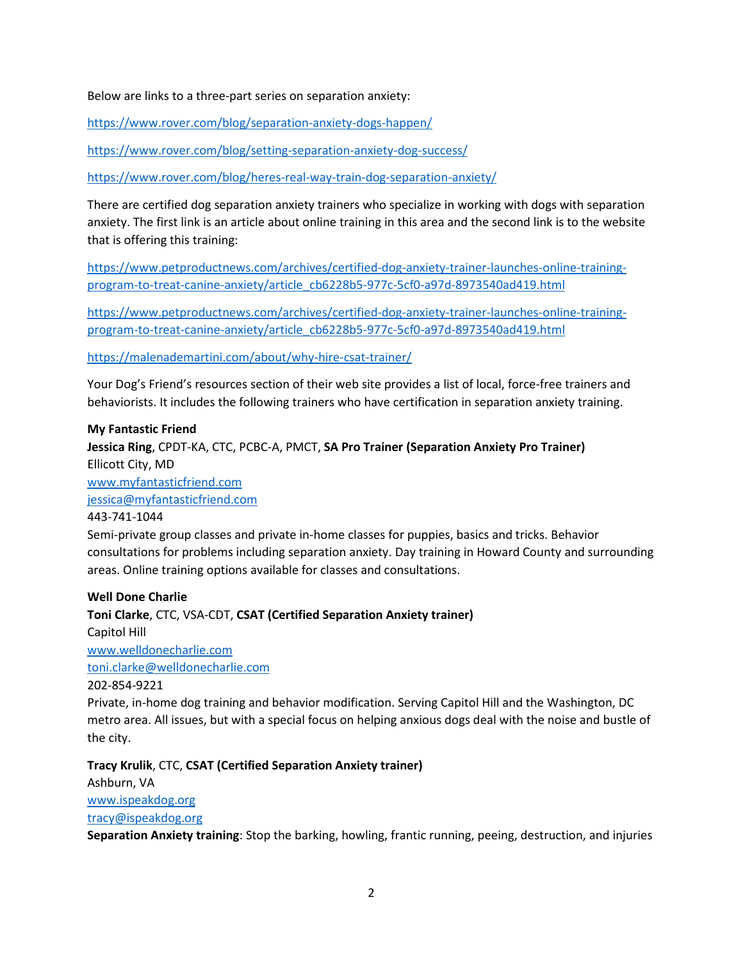Below are links to a three-part series on separation anxiety:

<https://www.rover.com/blog/separation-anxiety-dogs-happen/>

<https://www.rover.com/blog/setting-separation-anxiety-dog-success/>

<https://www.rover.com/blog/heres-real-way-train-dog-separation-anxiety/>

There are certified dog separation anxiety trainers who specialize in working with dogs with separation anxiety. The first link is an article about online training in this area and the second link is to the website that is offering this training:

[https://www.petproductnews.com/archives/certified-dog-anxiety-trainer-launches-online-training](https://www.petproductnews.com/archives/certified-dog-anxiety-trainer-launches-online-training-program-to-treat-canine-anxiety/article_cb6228b5-977c-5cf0-a97d-8973540ad419.html)[program-to-treat-canine-anxiety/article\\_cb6228b5-977c-5cf0-a97d-8973540ad419.html](https://www.petproductnews.com/archives/certified-dog-anxiety-trainer-launches-online-training-program-to-treat-canine-anxiety/article_cb6228b5-977c-5cf0-a97d-8973540ad419.html)

[https://www.petproductnews.com/archives/certified-dog-anxiety-trainer-launches-online-training](https://www.petproductnews.com/archives/certified-dog-anxiety-trainer-launches-online-training-program-to-treat-canine-anxiety/article_cb6228b5-977c-5cf0-a97d-8973540ad419.html)[program-to-treat-canine-anxiety/article\\_cb6228b5-977c-5cf0-a97d-8973540ad419.html](https://www.petproductnews.com/archives/certified-dog-anxiety-trainer-launches-online-training-program-to-treat-canine-anxiety/article_cb6228b5-977c-5cf0-a97d-8973540ad419.html)

<https://malenademartini.com/about/why-hire-csat-trainer/>

Your Dog's Friend's resources section of their web site provides a list of local, force-free trainers and behaviorists. It includes the following trainers who have certification in separation anxiety training.

#### **My Fantastic Friend**

**Jessica Ring**, CPDT-KA, CTC, PCBC-A, PMCT, **SA Pro Trainer (Separation Anxiety Pro Trainer)** Ellicott City, MD [www.myfantasticfriend.com](http://www.myfantasticfriend.com/) [jessica@myfantasticfriend.com](mailto:jessica@myfantasticfriend.com) 443-741-1044

Semi-private group classes and private in-home classes for puppies, basics and tricks. Behavior consultations for problems including separation anxiety. Day training in Howard County and surrounding areas. Online training options available for classes and consultations.

#### **Well Done Charlie**

**Toni Clarke**, CTC, VSA-CDT, **CSAT (Certified Separation Anxiety trainer)** Capitol Hill [www.welldonecharlie.com](http://www.welldonecharlie.com/) [toni.clarke@welldonecharlie.com](mailto:toni.clarke@welldonecharlie.com) 202-854-9221

Private, in-home dog training and behavior modification. Serving Capitol Hill and the Washington, DC metro area. All issues, but with a special focus on helping anxious dogs deal with the noise and bustle of the city.

**Tracy Krulik**, CTC, **CSAT (Certified Separation Anxiety trainer)** Ashburn, VA [www.ispeakdog.org](http://www.ispeakdog.org/) [tracy@ispeakdog.org](mailto:tracy@ispeakdog.org)

**Separation Anxiety training**: Stop the barking, howling, frantic running, peeing, destruction, and injuries